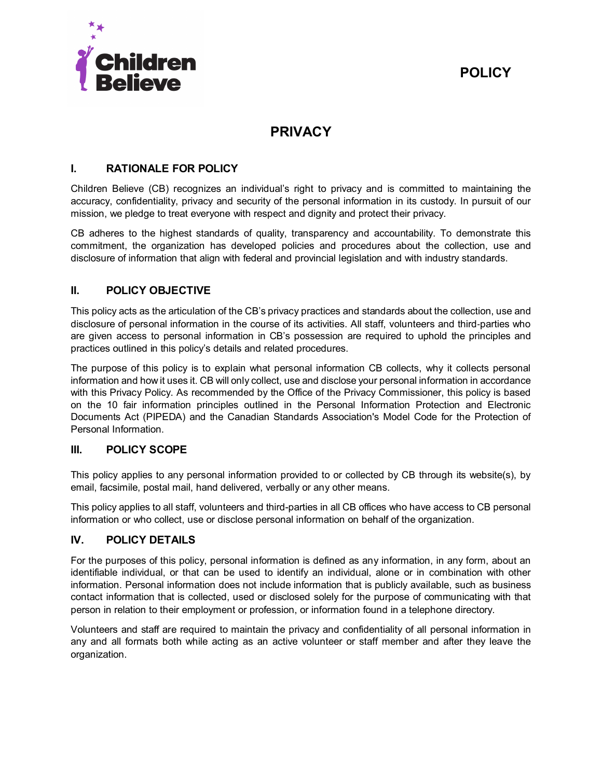



# **PRIVACY**

# **I. RATIONALE FOR POLICY**

Children Believe (CB) recognizes an individual's right to privacy and is committed to maintaining the accuracy, confidentiality, privacy and security of the personal information in its custody. In pursuit of our mission, we pledge to treat everyone with respect and dignity and protect their privacy.

CB adheres to the highest standards of quality, transparency and accountability. To demonstrate this commitment, the organization has developed policies and procedures about the collection, use and disclosure of information that align with federal and provincial legislation and with industry standards.

# **II. POLICY OBJECTIVE**

This policy acts as the articulation of the CB's privacy practices and standards about the collection, use and disclosure of personal information in the course of its activities. All staff, volunteers and third‐parties who are given access to personal information in CB's possession are required to uphold the principles and practices outlined in this policy's details and related procedures.

The purpose of this policy is to explain what personal information CB collects, why it collects personal information and how it uses it. CB will only collect, use and disclose your personal information in accordance with this Privacy Policy. As recommended by the Office of the Privacy Commissioner, this policy is based on the 10 fair information principles outlined in the Personal Information Protection and Electronic Documents Act (PIPEDA) and the Canadian Standards Association's Model Code for the Protection of Personal Information.

## **III. POLICY SCOPE**

This policy applies to any personal information provided to or collected by CB through its website(s), by email, facsimile, postal mail, hand delivered, verbally or any other means.

This policy applies to all staff, volunteers and third-parties in all CB offices who have access to CB personal information or who collect, use or disclose personal information on behalf of the organization.

# **IV. POLICY DETAILS**

For the purposes of this policy, personal information is defined as any information, in any form, about an identifiable individual, or that can be used to identify an individual, alone or in combination with other information. Personal information does not include information that is publicly available, such as business contact information that is collected, used or disclosed solely for the purpose of communicating with that person in relation to their employment or profession, or information found in a telephone directory.

Volunteers and staff are required to maintain the privacy and confidentiality of all personal information in any and all formats both while acting as an active volunteer or staff member and after they leave the organization.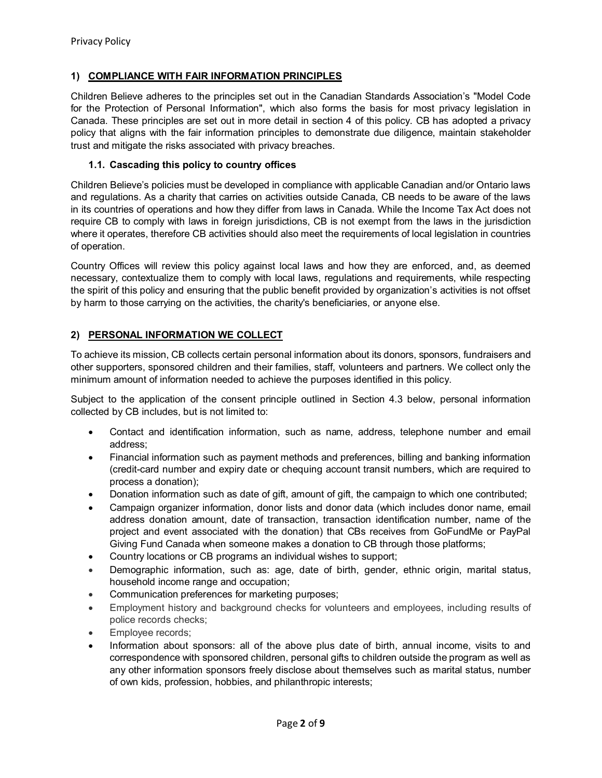## **1) COMPLIANCE WITH FAIR INFORMATION PRINCIPLES**

Children Believe adheres to the principles set out in the Canadian Standards Association's "Model Code for the Protection of Personal Information", which also forms the basis for most privacy legislation in Canada. These principles are set out in more detail in section 4 of this policy. CB has adopted a privacy policy that aligns with the fair information principles to demonstrate due diligence, maintain stakeholder trust and mitigate the risks associated with privacy breaches.

## **1.1. Cascading this policy to country offices**

Children Believe's policies must be developed in compliance with applicable Canadian and/or Ontario laws and regulations. As a charity that carries on activities outside Canada, CB needs to be aware of the laws in its countries of operations and how they differ from laws in Canada. While the Income Tax Act does not require CB to comply with laws in foreign jurisdictions, CB is not exempt from the laws in the jurisdiction where it operates, therefore CB activities should also meet the requirements of local legislation in countries of operation.

Country Offices will review this policy against local laws and how they are enforced, and, as deemed necessary, contextualize them to comply with local laws, regulations and requirements, while respecting the spirit of this policy and ensuring that the public benefit provided by organization's activities is not offset by harm to those carrying on the activities, the charity's beneficiaries, or anyone else.

# **2) PERSONAL INFORMATION WE COLLECT**

To achieve its mission, CB collects certain personal information about its donors, sponsors, fundraisers and other supporters, sponsored children and their families, staff, volunteers and partners. We collect only the minimum amount of information needed to achieve the purposes identified in this policy.

Subject to the application of the consent principle outlined in Section 4.3 below, personal information collected by CB includes, but is not limited to:

- Contact and identification information, such as name, address, telephone number and email address;
- Financial information such as payment methods and preferences, billing and banking information (credit-card number and expiry date or chequing account transit numbers, which are required to process a donation);
- Donation information such as date of gift, amount of gift, the campaign to which one contributed;
- Campaign organizer information, donor lists and donor data (which includes donor name, email address donation amount, date of transaction, transaction identification number, name of the project and event associated with the donation) that CBs receives from GoFundMe or PayPal Giving Fund Canada when someone makes a donation to CB through those platforms;
- Country locations or CB programs an individual wishes to support;
- Demographic information, such as: age, date of birth, gender, ethnic origin, marital status, household income range and occupation;
- Communication preferences for marketing purposes;
- Employment history and background checks for volunteers and employees, including results of police records checks;
- Employee records;
- Information about sponsors: all of the above plus date of birth, annual income, visits to and correspondence with sponsored children, personal gifts to children outside the program as well as any other information sponsors freely disclose about themselves such as marital status, number of own kids, profession, hobbies, and philanthropic interests;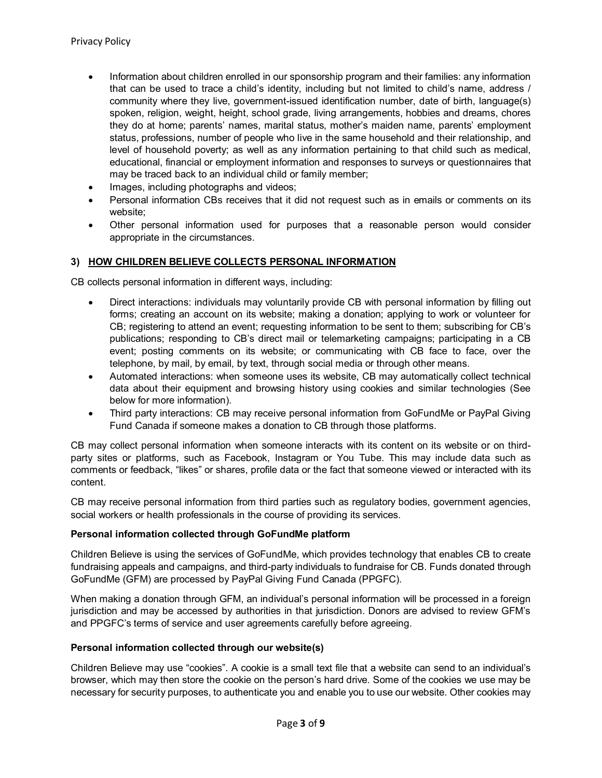- Information about children enrolled in our sponsorship program and their families: any information that can be used to trace a child's identity, including but not limited to child's name, address / community where they live, government-issued identification number, date of birth, language(s) spoken, religion, weight, height, school grade, living arrangements, hobbies and dreams, chores they do at home; parents' names, marital status, mother's maiden name, parents' employment status, professions, number of people who live in the same household and their relationship, and level of household poverty; as well as any information pertaining to that child such as medical, educational, financial or employment information and responses to surveys or questionnaires that may be traced back to an individual child or family member;
- Images, including photographs and videos;
- Personal information CBs receives that it did not request such as in emails or comments on its website;
- Other personal information used for purposes that a reasonable person would consider appropriate in the circumstances.

## **3) HOW CHILDREN BELIEVE COLLECTS PERSONAL INFORMATION**

CB collects personal information in different ways, including:

- Direct interactions: individuals may voluntarily provide CB with personal information by filling out forms; creating an account on its website; making a donation; applying to work or volunteer for CB; registering to attend an event; requesting information to be sent to them; subscribing for CB's publications; responding to CB's direct mail or telemarketing campaigns; participating in a CB event; posting comments on its website; or communicating with CB face to face, over the telephone, by mail, by email, by text, through social media or through other means.
- Automated interactions: when someone uses its website, CB may automatically collect technical data about their equipment and browsing history using cookies and similar technologies (See below for more information).
- Third party interactions: CB may receive personal information from GoFundMe or PayPal Giving Fund Canada if someone makes a donation to CB through those platforms.

CB may collect personal information when someone interacts with its content on its website or on thirdparty sites or platforms, such as Facebook, Instagram or You Tube. This may include data such as comments or feedback, "likes" or shares, profile data or the fact that someone viewed or interacted with its content.

CB may receive personal information from third parties such as regulatory bodies, government agencies, social workers or health professionals in the course of providing its services.

## **Personal information collected through GoFundMe platform**

Children Believe is using the services of GoFundMe, which provides technology that enables CB to create fundraising appeals and campaigns, and third-party individuals to fundraise for CB. Funds donated through GoFundMe (GFM) are processed by PayPal Giving Fund Canada (PPGFC).

When making a donation through GFM, an individual's personal information will be processed in a foreign jurisdiction and may be accessed by authorities in that jurisdiction. Donors are advised to review GFM's and PPGFC's terms of service and user agreements carefully before agreeing.

#### **Personal information collected through our website(s)**

Children Believe may use "cookies". A cookie is a small text file that a website can send to an individual's browser, which may then store the cookie on the person's hard drive. Some of the cookies we use may be necessary for security purposes, to authenticate you and enable you to use our website. Other cookies may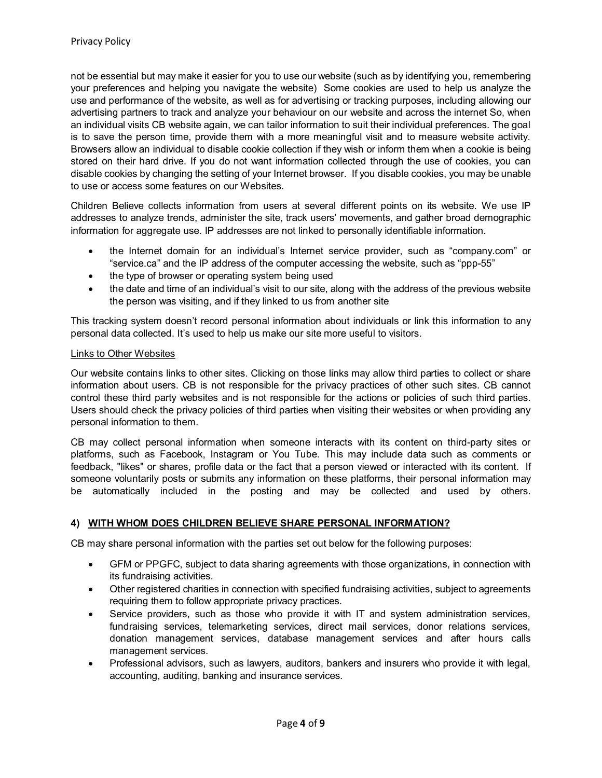not be essential but may make it easier for you to use our website (such as by identifying you, remembering your preferences and helping you navigate the website) Some cookies are used to help us analyze the use and performance of the website, as well as for advertising or tracking purposes, including allowing our advertising partners to track and analyze your behaviour on our website and across the internet So, when an individual visits CB website again, we can tailor information to suit their individual preferences. The goal is to save the person time, provide them with a more meaningful visit and to measure website activity. Browsers allow an individual to disable cookie collection if they wish or inform them when a cookie is being stored on their hard drive. If you do not want information collected through the use of cookies, you can disable cookies by changing the setting of your Internet browser. If you disable cookies, you may be unable to use or access some features on our Websites.

Children Believe collects information from users at several different points on its website. We use IP addresses to analyze trends, administer the site, track users' movements, and gather broad demographic information for aggregate use. IP addresses are not linked to personally identifiable information.

- the Internet domain for an individual's Internet service provider, such as "company.com" or "service.ca" and the IP address of the computer accessing the website, such as "ppp-55"
- the type of browser or operating system being used
- the date and time of an individual's visit to our site, along with the address of the previous website the person was visiting, and if they linked to us from another site

This tracking system doesn't record personal information about individuals or link this information to any personal data collected. It's used to help us make our site more useful to visitors.

#### Links to Other Websites

Our website contains links to other sites. Clicking on those links may allow third parties to collect or share information about users. CB is not responsible for the privacy practices of other such sites. CB cannot control these third party websites and is not responsible for the actions or policies of such third parties. Users should check the privacy policies of third parties when visiting their websites or when providing any personal information to them.

CB may collect personal information when someone interacts with its content on third-party sites or platforms, such as Facebook, Instagram or You Tube. This may include data such as comments or feedback, "likes" or shares, profile data or the fact that a person viewed or interacted with its content. If someone voluntarily posts or submits any information on these platforms, their personal information may be automatically included in the posting and may be collected and used by others.

## **4) WITH WHOM DOES CHILDREN BELIEVE SHARE PERSONAL INFORMATION?**

CB may share personal information with the parties set out below for the following purposes:

- GFM or PPGFC, subject to data sharing agreements with those organizations, in connection with its fundraising activities.
- Other registered charities in connection with specified fundraising activities, subject to agreements requiring them to follow appropriate privacy practices.
- Service providers, such as those who provide it with IT and system administration services, fundraising services, telemarketing services, direct mail services, donor relations services, donation management services, database management services and after hours calls management services.
- Professional advisors, such as lawyers, auditors, bankers and insurers who provide it with legal, accounting, auditing, banking and insurance services.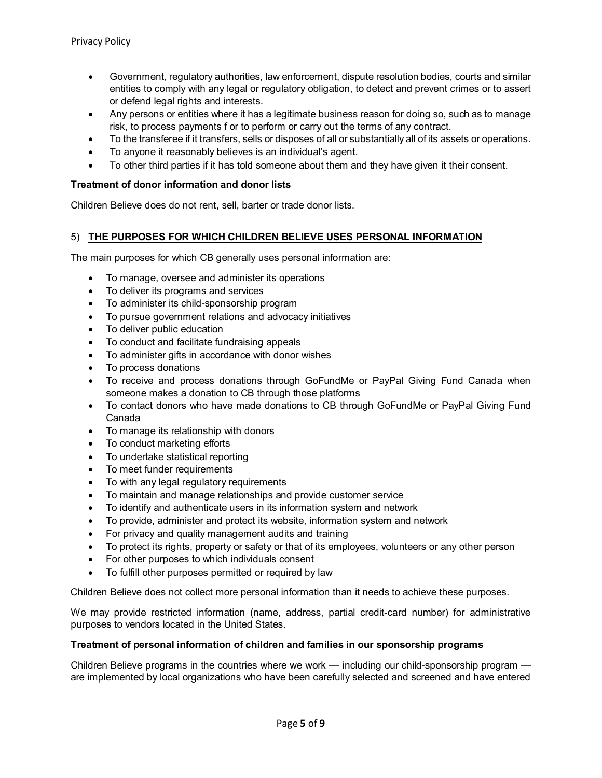- Government, regulatory authorities, law enforcement, dispute resolution bodies, courts and similar entities to comply with any legal or regulatory obligation, to detect and prevent crimes or to assert or defend legal rights and interests.
- Any persons or entities where it has a legitimate business reason for doing so, such as to manage risk, to process payments f or to perform or carry out the terms of any contract.
- To the transferee if it transfers, sells or disposes of all or substantially all of its assets or operations.
- To anyone it reasonably believes is an individual's agent.
- To other third parties if it has told someone about them and they have given it their consent.

## **Treatment of donor information and donor lists**

Children Believe does do not rent, sell, barter or trade donor lists.

#### 5) **THE PURPOSES FOR WHICH CHILDREN BELIEVE USES PERSONAL INFORMATION**

The main purposes for which CB generally uses personal information are:

- To manage, oversee and administer its operations
- To deliver its programs and services
- To administer its child-sponsorship program
- To pursue government relations and advocacy initiatives
- To deliver public education
- To conduct and facilitate fundraising appeals
- To administer gifts in accordance with donor wishes
- To process donations
- To receive and process donations through GoFundMe or PayPal Giving Fund Canada when someone makes a donation to CB through those platforms
- To contact donors who have made donations to CB through GoFundMe or PayPal Giving Fund Canada
- To manage its relationship with donors
- To conduct marketing efforts
- To undertake statistical reporting
- To meet funder requirements
- To with any legal regulatory requirements
- To maintain and manage relationships and provide customer service
- To identify and authenticate users in its information system and network
- To provide, administer and protect its website, information system and network
- For privacy and quality management audits and training
- To protect its rights, property or safety or that of its employees, volunteers or any other person
- For other purposes to which individuals consent
- To fulfill other purposes permitted or required by law

Children Believe does not collect more personal information than it needs to achieve these purposes.

We may provide restricted information (name, address, partial credit-card number) for administrative purposes to vendors located in the United States.

## **Treatment of personal information of children and families in our sponsorship programs**

Children Believe programs in the countries where we work — including our child-sponsorship program are implemented by local organizations who have been carefully selected and screened and have entered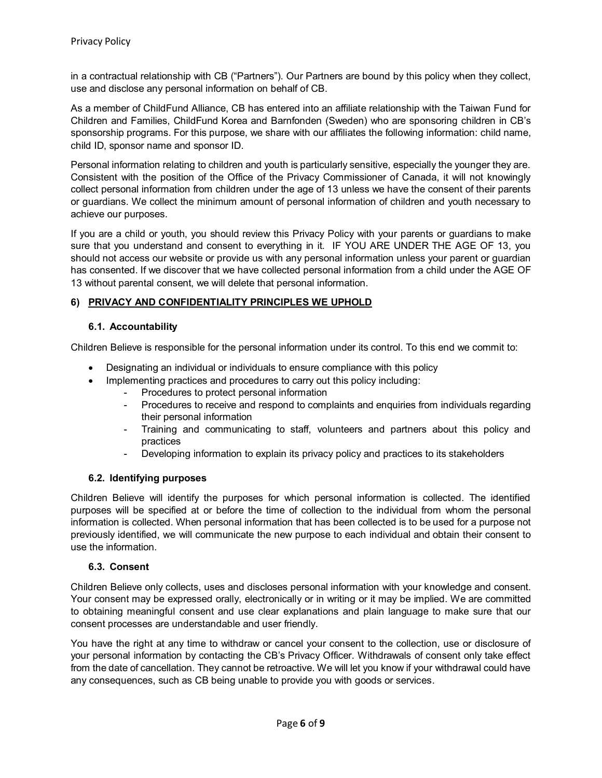in a contractual relationship with CB ("Partners"). Our Partners are bound by this policy when they collect, use and disclose any personal information on behalf of CB.

As a member of ChildFund Alliance, CB has entered into an affiliate relationship with the Taiwan Fund for Children and Families, ChildFund Korea and Barnfonden (Sweden) who are sponsoring children in CB's sponsorship programs. For this purpose, we share with our affiliates the following information: child name, child ID, sponsor name and sponsor ID.

Personal information relating to children and youth is particularly sensitive, especially the younger they are. Consistent with the position of the Office of the Privacy Commissioner of Canada, it will not knowingly collect personal information from children under the age of 13 unless we have the consent of their parents or guardians. We collect the minimum amount of personal information of children and youth necessary to achieve our purposes.

If you are a child or youth, you should review this Privacy Policy with your parents or guardians to make sure that you understand and consent to everything in it. IF YOU ARE UNDER THE AGE OF 13, you should not access our website or provide us with any personal information unless your parent or guardian has consented. If we discover that we have collected personal information from a child under the AGE OF 13 without parental consent, we will delete that personal information.

## **6) PRIVACY AND CONFIDENTIALITY PRINCIPLES WE UPHOLD**

## **6.1. Accountability**

Children Believe is responsible for the personal information under its control. To this end we commit to:

- Designating an individual or individuals to ensure compliance with this policy
- Implementing practices and procedures to carry out this policy including:
	- Procedures to protect personal information
	- Procedures to receive and respond to complaints and enquiries from individuals regarding their personal information
	- Training and communicating to staff, volunteers and partners about this policy and practices
	- Developing information to explain its privacy policy and practices to its stakeholders

## **6.2. Identifying purposes**

Children Believe will identify the purposes for which personal information is collected. The identified purposes will be specified at or before the time of collection to the individual from whom the personal information is collected. When personal information that has been collected is to be used for a purpose not previously identified, we will communicate the new purpose to each individual and obtain their consent to use the information.

## **6.3. Consent**

Children Believe only collects, uses and discloses personal information with your knowledge and consent. Your consent may be expressed orally, electronically or in writing or it may be implied. We are committed to obtaining meaningful consent and use clear explanations and plain language to make sure that our consent processes are understandable and user friendly.

You have the right at any time to withdraw or cancel your consent to the collection, use or disclosure of your personal information by contacting the CB's Privacy Officer. Withdrawals of consent only take effect from the date of cancellation. They cannot be retroactive. We will let you know if your withdrawal could have any consequences, such as CB being unable to provide you with goods or services.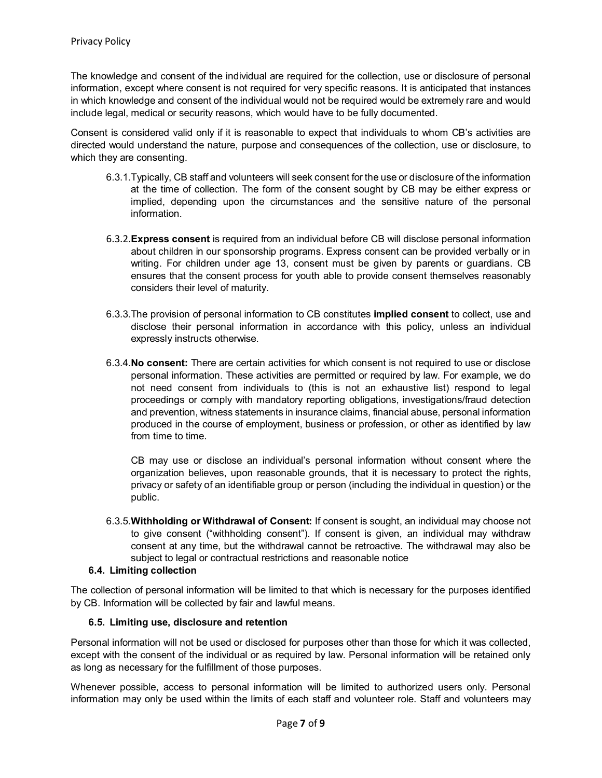The knowledge and consent of the individual are required for the collection, use or disclosure of personal information, except where consent is not required for very specific reasons. It is anticipated that instances in which knowledge and consent of the individual would not be required would be extremely rare and would include legal, medical or security reasons, which would have to be fully documented.

Consent is considered valid only if it is reasonable to expect that individuals to whom CB's activities are directed would understand the nature, purpose and consequences of the collection, use or disclosure, to which they are consenting.

- 6.3.1.Typically, CB staff and volunteers will seek consent for the use or disclosure of the information at the time of collection. The form of the consent sought by CB may be either express or implied, depending upon the circumstances and the sensitive nature of the personal information.
- 6.3.2.**Express consent** is required from an individual before CB will disclose personal information about children in our sponsorship programs. Express consent can be provided verbally or in writing. For children under age 13, consent must be given by parents or guardians. CB ensures that the consent process for youth able to provide consent themselves reasonably considers their level of maturity.
- 6.3.3.The provision of personal information to CB constitutes **implied consent** to collect, use and disclose their personal information in accordance with this policy, unless an individual expressly instructs otherwise.
- 6.3.4.**No consent:** There are certain activities for which consent is not required to use or disclose personal information. These activities are permitted or required by law. For example, we do not need consent from individuals to (this is not an exhaustive list) respond to legal proceedings or comply with mandatory reporting obligations, investigations/fraud detection and prevention, witness statements in insurance claims, financial abuse, personal information produced in the course of employment, business or profession, or other as identified by law from time to time.

CB may use or disclose an individual's personal information without consent where the organization believes, upon reasonable grounds, that it is necessary to protect the rights, privacy or safety of an identifiable group or person (including the individual in question) or the public.

6.3.5.**Withholding or Withdrawal of Consent:** If consent is sought, an individual may choose not to give consent ("withholding consent"). If consent is given, an individual may withdraw consent at any time, but the withdrawal cannot be retroactive. The withdrawal may also be subject to legal or contractual restrictions and reasonable notice

## **6.4. Limiting collection**

The collection of personal information will be limited to that which is necessary for the purposes identified by CB. Information will be collected by fair and lawful means.

## **6.5. Limiting use, disclosure and retention**

Personal information will not be used or disclosed for purposes other than those for which it was collected, except with the consent of the individual or as required by law. Personal information will be retained only as long as necessary for the fulfillment of those purposes.

Whenever possible, access to personal information will be limited to authorized users only. Personal information may only be used within the limits of each staff and volunteer role. Staff and volunteers may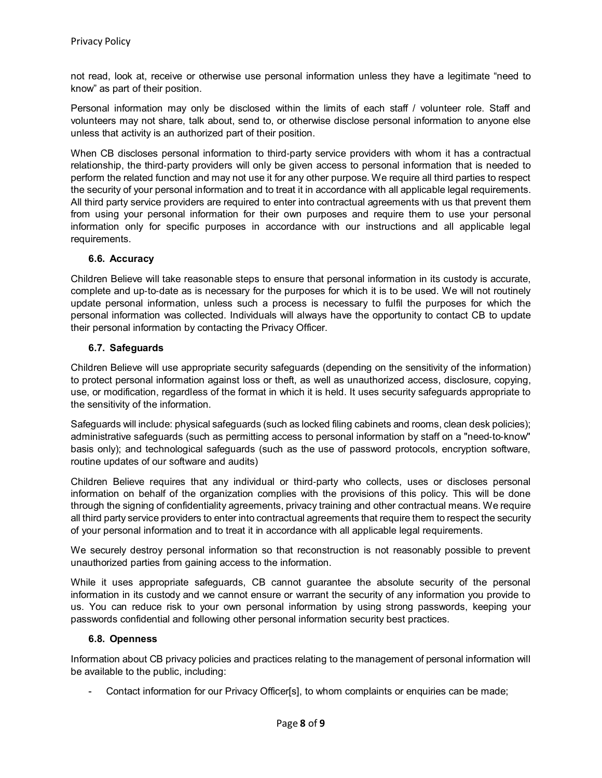not read, look at, receive or otherwise use personal information unless they have a legitimate "need to know" as part of their position.

Personal information may only be disclosed within the limits of each staff / volunteer role. Staff and volunteers may not share, talk about, send to, or otherwise disclose personal information to anyone else unless that activity is an authorized part of their position.

When CB discloses personal information to third-party service providers with whom it has a contractual relationship, the third‐party providers will only be given access to personal information that is needed to perform the related function and may not use it for any other purpose. We require all third parties to respect the security of your personal information and to treat it in accordance with all applicable legal requirements. All third party service providers are required to enter into contractual agreements with us that prevent them from using your personal information for their own purposes and require them to use your personal information only for specific purposes in accordance with our instructions and all applicable legal requirements.

## **6.6. Accuracy**

Children Believe will take reasonable steps to ensure that personal information in its custody is accurate, complete and up-to-date as is necessary for the purposes for which it is to be used. We will not routinely update personal information, unless such a process is necessary to fulfil the purposes for which the personal information was collected. Individuals will always have the opportunity to contact CB to update their personal information by contacting the Privacy Officer.

## **6.7. Safeguards**

Children Believe will use appropriate security safeguards (depending on the sensitivity of the information) to protect personal information against loss or theft, as well as unauthorized access, disclosure, copying, use, or modification, regardless of the format in which it is held. It uses security safeguards appropriate to the sensitivity of the information.

Safeguards will include: physical safeguards (such as locked filing cabinets and rooms, clean desk policies); administrative safeguards (such as permitting access to personal information by staff on a "need‐to‐know" basis only); and technological safeguards (such as the use of password protocols, encryption software, routine updates of our software and audits)

Children Believe requires that any individual or third‐party who collects, uses or discloses personal information on behalf of the organization complies with the provisions of this policy. This will be done through the signing of confidentiality agreements, privacy training and other contractual means. We require all third party service providers to enter into contractual agreements that require them to respect the security of your personal information and to treat it in accordance with all applicable legal requirements.

We securely destroy personal information so that reconstruction is not reasonably possible to prevent unauthorized parties from gaining access to the information.

While it uses appropriate safeguards, CB cannot guarantee the absolute security of the personal information in its custody and we cannot ensure or warrant the security of any information you provide to us. You can reduce risk to your own personal information by using strong passwords, keeping your passwords confidential and following other personal information security best practices.

## **6.8. Openness**

Information about CB privacy policies and practices relating to the management of personal information will be available to the public, including:

- Contact information for our Privacy Officer[s], to whom complaints or enquiries can be made;